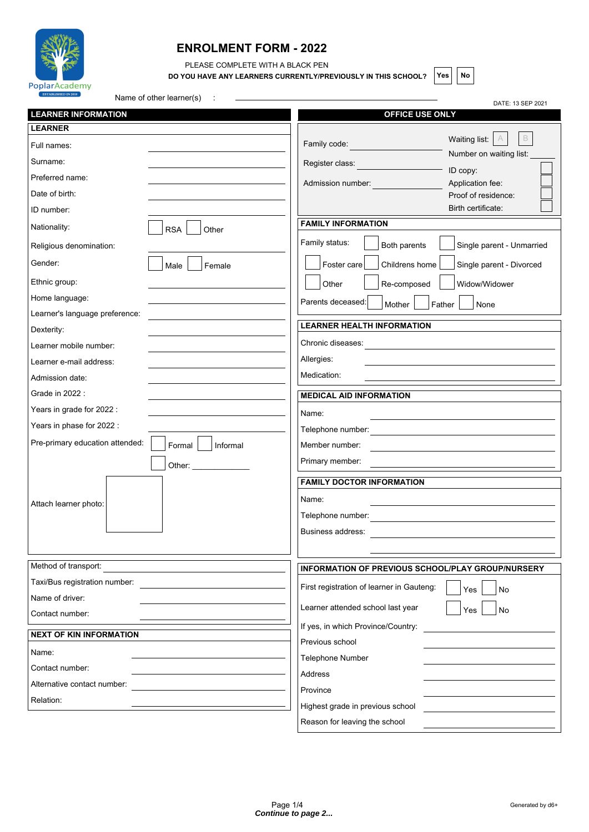

## **ENROLMENT FORM - 2022**

PLEASE COMPLETE WITH A BLACK PEN

**DO YOU HAVE ANY LEARNERS CURRENTLY/PREVIOUSLY IN THIS SCHOOL?**  $\begin{bmatrix} \text{Yes} \\ \text{No} \end{bmatrix}$ 

| PoplarAcademy<br>ESTABLISHED IN 2010<br>Name of other learner(s) |                                                               |  |  |
|------------------------------------------------------------------|---------------------------------------------------------------|--|--|
| <b>LEARNER INFORMATION</b>                                       | DATE: 13 SEP 2021<br>OFFICE USE ONLY                          |  |  |
| <b>LEARNER</b>                                                   |                                                               |  |  |
| Full names:                                                      | B<br>Waiting list:<br>Family code:<br>Number on waiting list: |  |  |
| Surname:                                                         | Register class:                                               |  |  |
| Preferred name:                                                  | ID copy:<br>Application fee:<br>Admission number:             |  |  |
| Date of birth:                                                   | Proof of residence:                                           |  |  |
| ID number:                                                       | Birth certificate:                                            |  |  |
| Nationality:<br><b>RSA</b><br>Other                              | <b>FAMILY INFORMATION</b>                                     |  |  |
| Religious denomination:                                          | Family status:<br>Both parents<br>Single parent - Unmarried   |  |  |
| Gender:<br>Male<br>Female                                        | Foster care<br>Childrens home<br>Single parent - Divorced     |  |  |
| Ethnic group:                                                    | Other<br>Re-composed<br>Widow/Widower                         |  |  |
| Home language:                                                   | Parents deceased:<br>Mother<br>Father<br>None                 |  |  |
| Learner's language preference:                                   |                                                               |  |  |
| Dexterity:                                                       | <b>LEARNER HEALTH INFORMATION</b>                             |  |  |
| Learner mobile number:                                           | Chronic diseases:                                             |  |  |
| Learner e-mail address:                                          | Allergies:                                                    |  |  |
| Admission date:                                                  | Medication:                                                   |  |  |
| Grade in 2022 :                                                  | <b>MEDICAL AID INFORMATION</b>                                |  |  |
| Years in grade for 2022 :                                        | Name:                                                         |  |  |
| Years in phase for 2022 :                                        | Telephone number:                                             |  |  |
| Pre-primary education attended:<br>Formal<br>Informal            | Member number:                                                |  |  |
| Other:                                                           | Primary member:                                               |  |  |
|                                                                  | <b>FAMILY DOCTOR INFORMATION</b>                              |  |  |
| Attach learner photo:                                            | Name:                                                         |  |  |
|                                                                  | Telephone number:                                             |  |  |
|                                                                  | Business address:                                             |  |  |
|                                                                  |                                                               |  |  |
| Method of transport:                                             | <b>INFORMATION OF PREVIOUS SCHOOL/PLAY GROUP/NURSERY</b>      |  |  |
| Taxi/Bus registration number:                                    | First registration of learner in Gauteng:<br>Yes<br>No        |  |  |
| Name of driver:                                                  |                                                               |  |  |
| Contact number:                                                  | Learner attended school last year<br>Yes<br>No                |  |  |
| <b>NEXT OF KIN INFORMATION</b>                                   | If yes, in which Province/Country:                            |  |  |
| Name:                                                            | Previous school                                               |  |  |
| Contact number:                                                  | Telephone Number                                              |  |  |
| Alternative contact number:                                      | Address                                                       |  |  |
| Relation:                                                        | Province                                                      |  |  |
|                                                                  | Highest grade in previous school                              |  |  |

Reason for leaving the school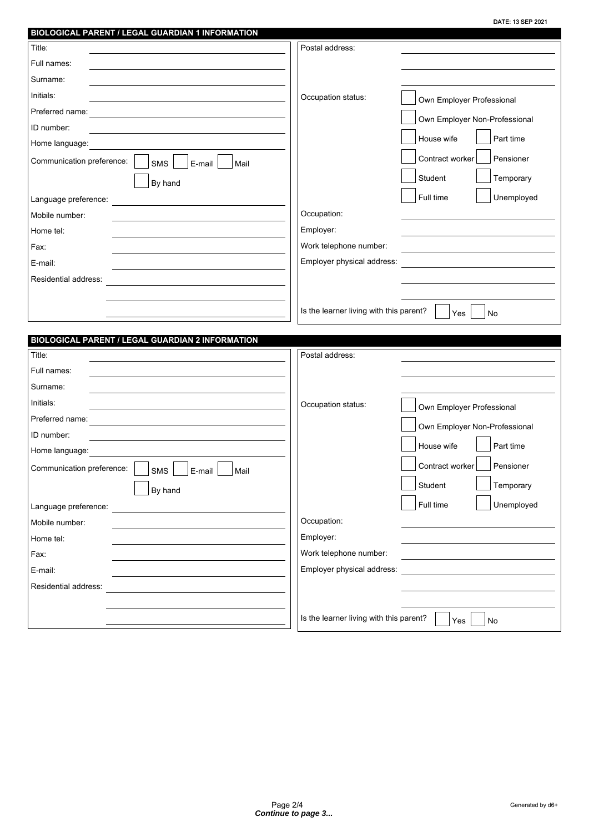|                                                                           |                                         | DATE: 13 SEP 2021             |
|---------------------------------------------------------------------------|-----------------------------------------|-------------------------------|
| BIOLOGICAL PARENT / LEGAL GUARDIAN 1 INFORMATION                          |                                         |                               |
| Title:                                                                    | Postal address:                         |                               |
| Full names:                                                               |                                         |                               |
| Surname:                                                                  |                                         |                               |
| Initials:                                                                 | Occupation status:                      | Own Employer Professional     |
| Preferred name:                                                           |                                         | Own Employer Non-Professional |
| ID number:                                                                |                                         |                               |
| Home language:                                                            |                                         | House wife<br>Part time       |
| Communication preference:<br><b>SMS</b><br>E-mail<br>Mail                 |                                         | Contract worker<br>Pensioner  |
| By hand                                                                   |                                         | Student<br>Temporary          |
| Language preference:                                                      |                                         | Full time<br>Unemployed       |
| Mobile number:                                                            | Occupation:                             |                               |
| Home tel:                                                                 | Employer:                               |                               |
| Fax:                                                                      | Work telephone number:                  |                               |
| E-mail:                                                                   | Employer physical address:              |                               |
| Residential address:                                                      |                                         |                               |
|                                                                           |                                         |                               |
|                                                                           | Is the learner living with this parent? | Yes<br><b>No</b>              |
|                                                                           |                                         |                               |
|                                                                           |                                         |                               |
|                                                                           |                                         |                               |
| <b>BIOLOGICAL PARENT / LEGAL GUARDIAN 2 INFORMATION</b><br>Title:         | Postal address:                         |                               |
| Full names:                                                               |                                         |                               |
| Surname:                                                                  |                                         |                               |
| Initials:                                                                 |                                         |                               |
| Preferred name:                                                           | Occupation status:                      | Own Employer Professional     |
| ID number:                                                                |                                         | Own Employer Non-Professional |
| Home language:                                                            |                                         | House wife<br>Part time       |
|                                                                           |                                         | Contract worker<br>Pensioner  |
| Communication preference:<br><b>SMS</b><br>E-mail<br>Mail                 |                                         |                               |
| By hand                                                                   |                                         | Student<br>Temporary          |
| Language preference:<br><u> 1989 - Andrea State Barbara, amerikan per</u> |                                         | Full time<br>Unemployed       |
| Mobile number:                                                            | Occupation:                             |                               |
| Home tel:                                                                 | Employer:                               |                               |
| Fax:                                                                      | Work telephone number:                  |                               |
| E-mail:                                                                   | Employer physical address:              |                               |
| Residential address:                                                      |                                         |                               |
|                                                                           | Is the learner living with this parent? | No<br>Yes                     |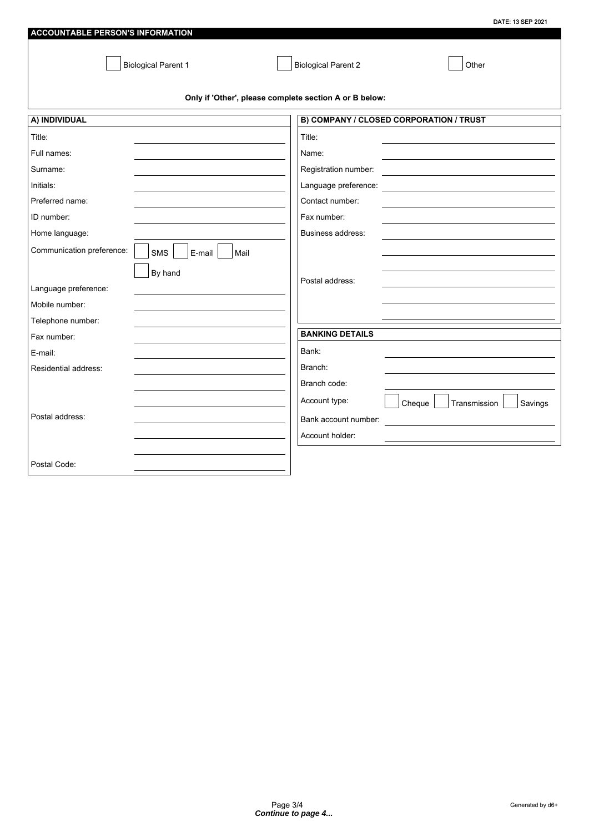|                                                    | DATE: 13 SEP 2021                                      |
|----------------------------------------------------|--------------------------------------------------------|
| <b>ACCOUNTABLE PERSON'S INFORMATION</b>            |                                                        |
| <b>Biological Parent 1</b>                         | <b>Biological Parent 2</b><br>Other                    |
|                                                    | Only if 'Other', please complete section A or B below: |
| A) INDIVIDUAL                                      | B) COMPANY / CLOSED CORPORATION / TRUST                |
| Title:                                             | Title:                                                 |
| Full names:                                        | Name:                                                  |
| Surname:                                           | Registration number:                                   |
| Initials:                                          | Language preference:                                   |
| Preferred name:                                    | Contact number:                                        |
| ID number:                                         | Fax number:                                            |
| Home language:                                     | Business address:                                      |
| Communication preference:<br>SMS<br>E-mail<br>Mail |                                                        |
| By hand                                            |                                                        |
| Language preference:                               | Postal address:                                        |
| Mobile number:                                     |                                                        |
| Telephone number:                                  |                                                        |
| Fax number:                                        | <b>BANKING DETAILS</b>                                 |
| E-mail:                                            | Bank:                                                  |
| Residential address:                               | Branch:                                                |
|                                                    | Branch code:                                           |
|                                                    | Account type:<br>Cheque<br>Transmission<br>Savings     |
| Postal address:                                    | Bank account number:                                   |
|                                                    | Account holder:                                        |
|                                                    |                                                        |
| Postal Code:                                       |                                                        |